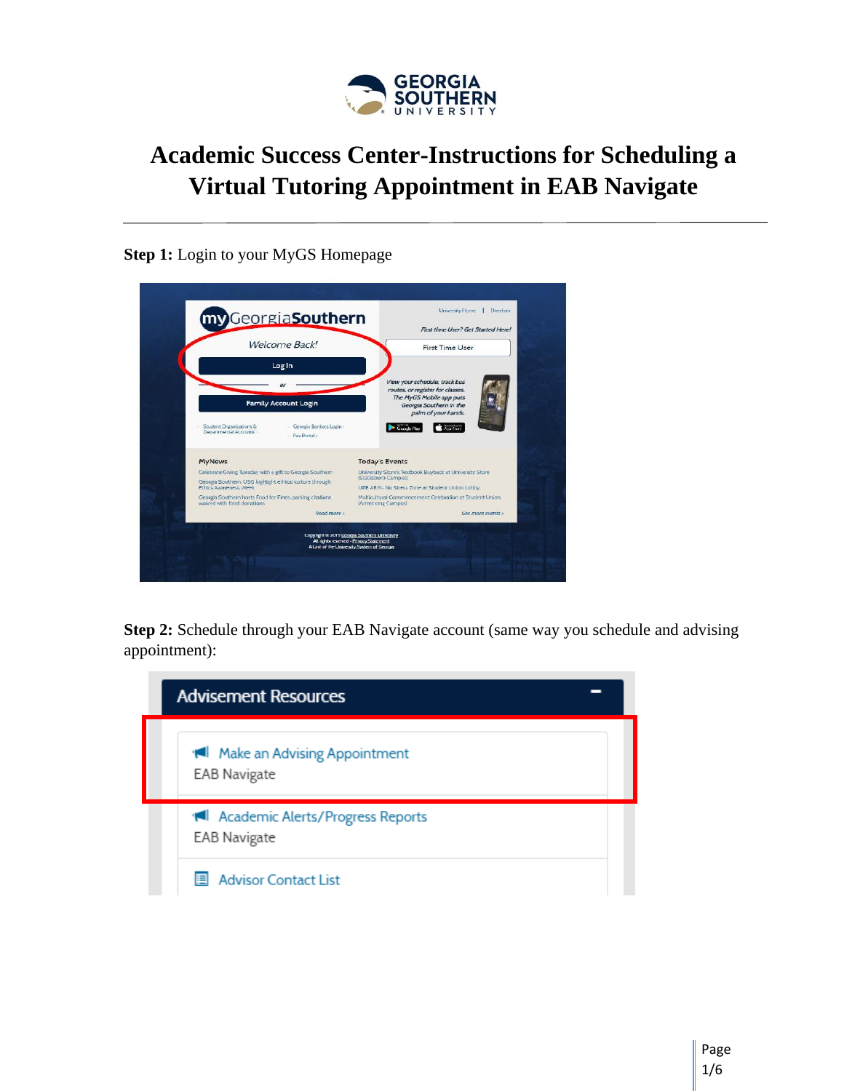

## **Academic Success Center-Instructions for Scheduling a Virtual Tutoring Appointment in EAB Navigate**

## **Step 1:** Login to your MyGS Homepage

| my GeorgiaSouthern                                                                      |                                                                                                                                       |                                                                            |
|-----------------------------------------------------------------------------------------|---------------------------------------------------------------------------------------------------------------------------------------|----------------------------------------------------------------------------|
|                                                                                         |                                                                                                                                       | First time User? Get Started Here!                                         |
| Welcome Back!                                                                           |                                                                                                                                       | First Time User                                                            |
| Log In                                                                                  |                                                                                                                                       |                                                                            |
|                                                                                         |                                                                                                                                       | View your schedule, track bus<br>routes, or register for classes.          |
| <b>Family Account Login</b>                                                             |                                                                                                                                       | The MyGS Mobile app puts<br>Georgia Southern in the<br>palm of your hands. |
| Student Organizations &<br>Departmental Accounts<br>- Fax Portal a                      | Georgia Bankers Login                                                                                                                 | Ace Store<br>Geerk                                                         |
| <b>MyNews</b>                                                                           | <b>Today's Events</b>                                                                                                                 |                                                                            |
| Celebrate Giving Tuesday with a gift to Georgia Southern                                | (Statesboro Campus)                                                                                                                   | University Store's Textbook Buyback at University Store                    |
| Georgia Southern, USG highlight ethical culture through<br><b>Ethics Awareness Week</b> |                                                                                                                                       | UPB ARM- No Stress Zone at Student Union Lobby                             |
| Georgia Southern hosts Food for Fines, parking citations<br>waived with food donations. | (Armstrong Campus)                                                                                                                    | Multicultural Commencement Celebration at Student Union                    |
|                                                                                         | Read more >                                                                                                                           | See more events >                                                          |
|                                                                                         | Copyright © 2019 Georgia Southern University<br>All rights reserved - Privacy Statement<br>A Unit of the University System of Georgia |                                                                            |

**Step 2:** Schedule through your EAB Navigate account (same way you schedule and advising appointment):

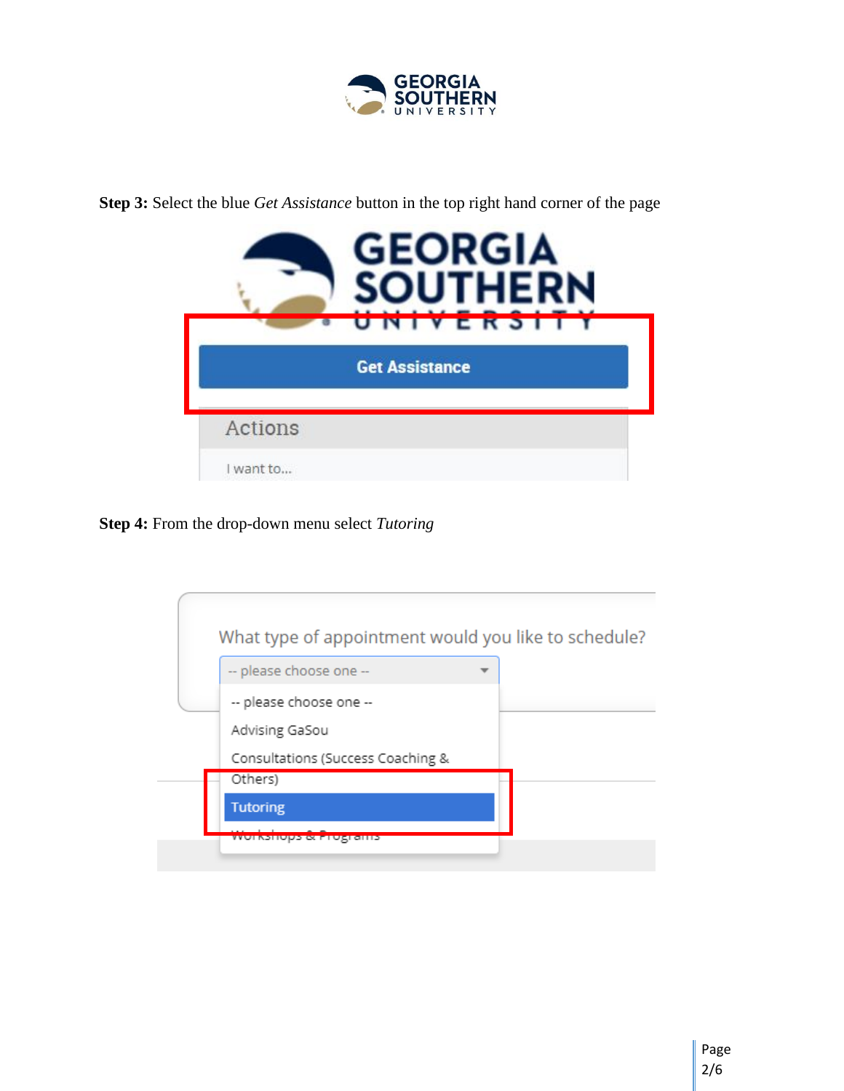

**Step 3:** Select the blue *Get Assistance* button in the top right hand corner of the page



**Step 4:** From the drop-down menu select *Tutoring*

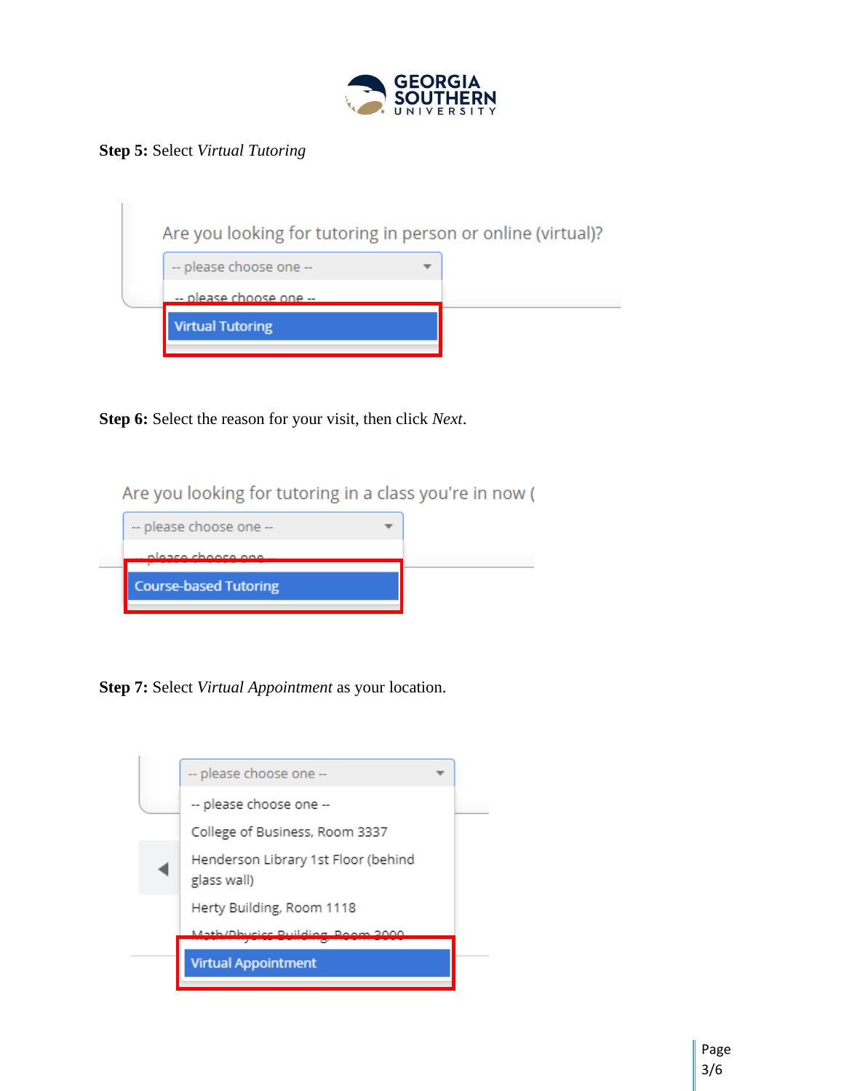

**Step 5:** Select *Virtual Tutoring*

|                         | Are you looking for tutoring in person or online (virtual)? |  |
|-------------------------|-------------------------------------------------------------|--|
| -- please choose one -- |                                                             |  |
| -- please choose one -- |                                                             |  |
| <b>Virtual Tutoring</b> |                                                             |  |
|                         |                                                             |  |

**Step 6:** Select the reason for your visit, then click *Next*.

Are you looking for tutoring in a class you're in now (



**Step 7:** Select *Virtual Appointment* as your location.

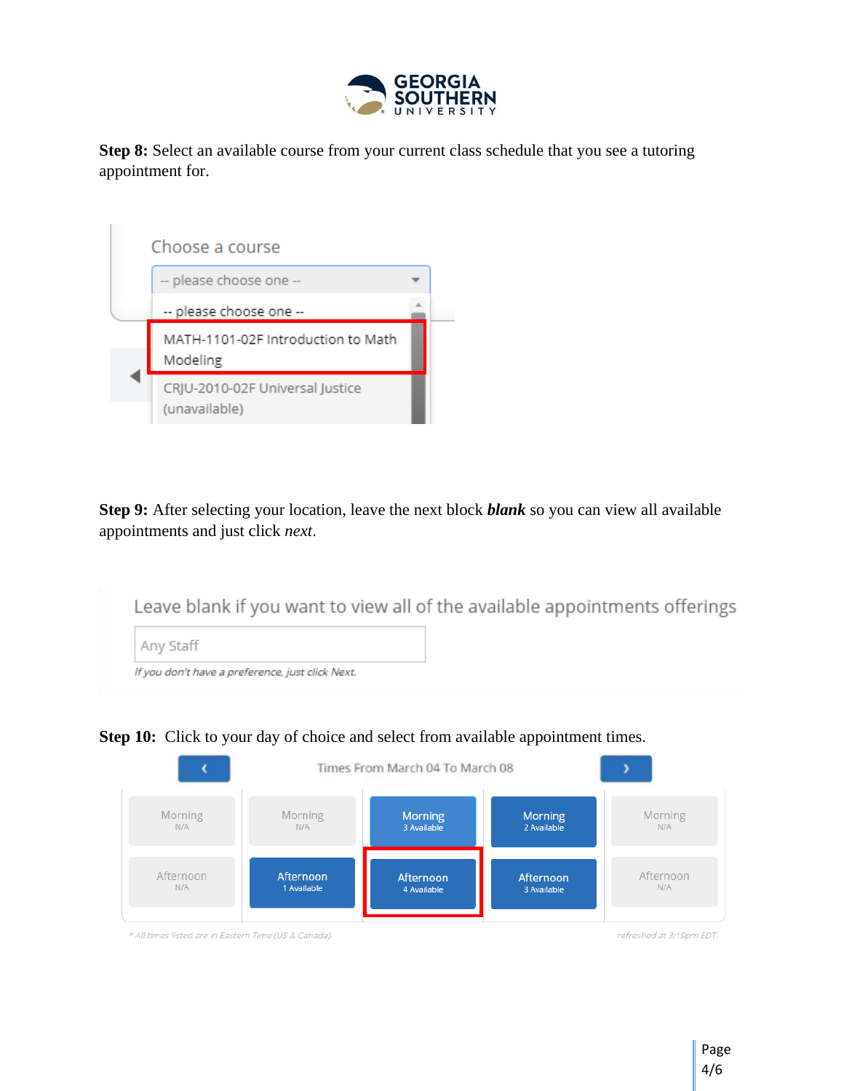

**Step 8:** Select an available course from your current class schedule that you see a tutoring appointment for.



**Step 9:** After selecting your location, leave the next block *blank* so you can view all available appointments and just click *next*.

|                                                  | Leave blank if you want to view all of the available appointments offerings |
|--------------------------------------------------|-----------------------------------------------------------------------------|
| Any Staff                                        |                                                                             |
| If you don't have a preference, just click Next. |                                                                             |



**Step 10:** Click to your day of choice and select from available appointment times.

\* All times listed are in Eastern Time (US & Canada).

refreshed at 3:19pm EDT.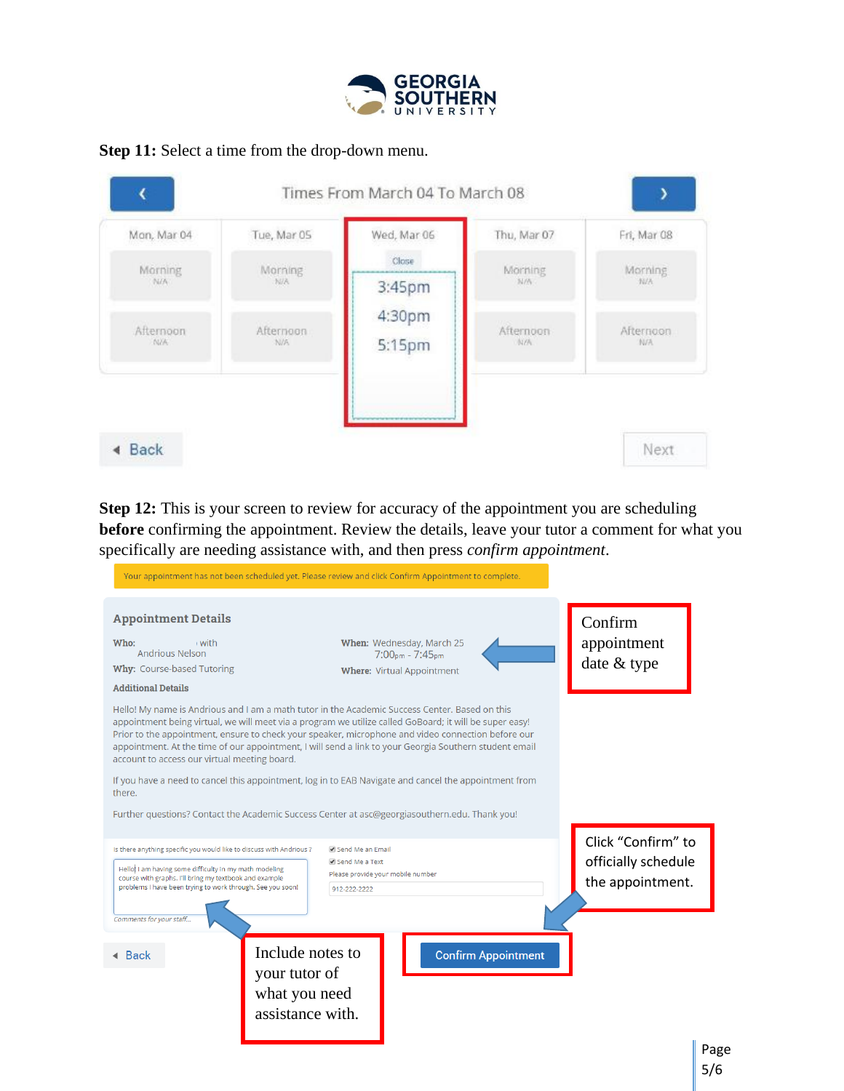

## **Step 11:** Select a time from the drop-down menu.



**Step 12:** This is your screen to review for accuracy of the appointment you are scheduling **before** confirming the appointment. Review the details, leave your tutor a comment for what you specifically are needing assistance with, and then press *confirm appointment*.

Your appointment has not been scheduled yet. Please review and click Confirm Appointment to complete.

| <b>Appointment Details</b><br>Who:<br>, with<br><b>Andrious Nelson</b><br>Why: Course-based Tutoring                           | When: Wednesday, March 25<br>$7:00pm - 7:45pm$<br><b>Where: Virtual Appointment</b>                                                                                                                                                                                                                                                                                                                                       | Confirm<br>appointment<br>date & type     |
|--------------------------------------------------------------------------------------------------------------------------------|---------------------------------------------------------------------------------------------------------------------------------------------------------------------------------------------------------------------------------------------------------------------------------------------------------------------------------------------------------------------------------------------------------------------------|-------------------------------------------|
| <b>Additional Details</b>                                                                                                      |                                                                                                                                                                                                                                                                                                                                                                                                                           |                                           |
| account to access our virtual meeting board.                                                                                   | Hello! My name is Andrious and I am a math tutor in the Academic Success Center. Based on this<br>appointment being virtual, we will meet via a program we utilize called GoBoard; it will be super easy!<br>Prior to the appointment, ensure to check your speaker, microphone and video connection before our<br>appointment. At the time of our appointment, I will send a link to your Georgia Southern student email |                                           |
| there.                                                                                                                         | If you have a need to cancel this appointment, log in to EAB Navigate and cancel the appointment from                                                                                                                                                                                                                                                                                                                     |                                           |
|                                                                                                                                | Further questions? Contact the Academic Success Center at asc@georgiasouthern.edu. Thank you!                                                                                                                                                                                                                                                                                                                             |                                           |
| Is there anything specific you would like to discuss with Andrious ?<br>Hello! I am having some difficulty in my math modeling | Send Me an Email<br>Send Me a Text                                                                                                                                                                                                                                                                                                                                                                                        | Click "Confirm" to<br>officially schedule |
| course with graphs. I'll bring my textbook and example<br>problems I have been trying to work through. See you soon!           | Please provide your mobile number<br>912-222-2222                                                                                                                                                                                                                                                                                                                                                                         | the appointment.                          |
| Comments for your staff                                                                                                        |                                                                                                                                                                                                                                                                                                                                                                                                                           |                                           |
| $\triangleleft$ Back                                                                                                           | Include notes to<br><b>Confirm Appointment</b><br>your tutor of<br>what you need<br>assistance with.                                                                                                                                                                                                                                                                                                                      |                                           |
|                                                                                                                                |                                                                                                                                                                                                                                                                                                                                                                                                                           | Pag                                       |